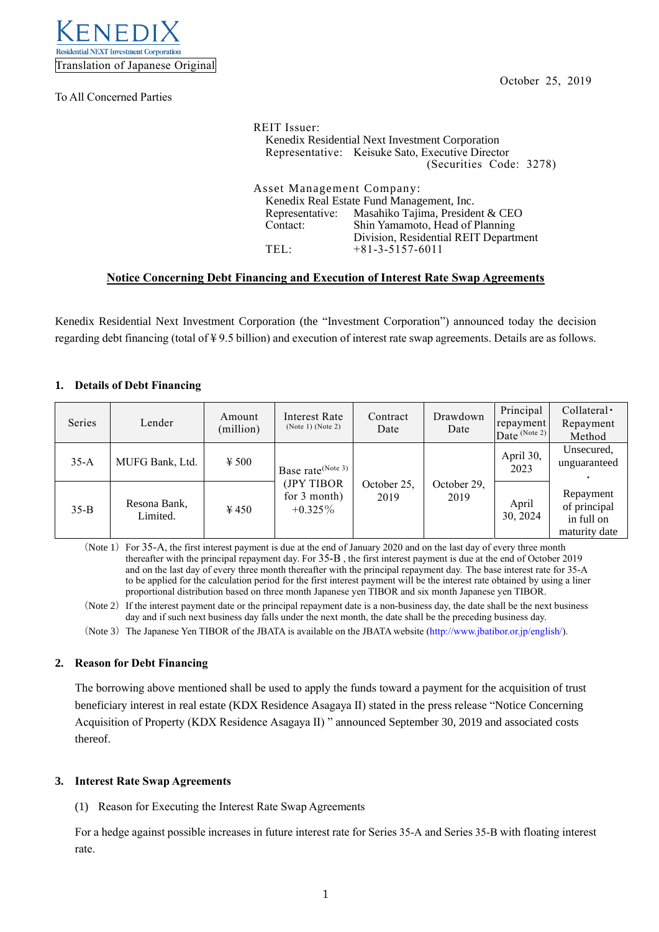

To All Concerned Parties

| <b>REIT</b> Issuer:                              |                                                  |  |  |  |  |  |
|--------------------------------------------------|--------------------------------------------------|--|--|--|--|--|
| Kenedix Residential Next Investment Corporation  |                                                  |  |  |  |  |  |
| Representative: Keisuke Sato, Executive Director |                                                  |  |  |  |  |  |
|                                                  | (Securities Code: 3278)                          |  |  |  |  |  |
|                                                  |                                                  |  |  |  |  |  |
| Asset Management Company:                        |                                                  |  |  |  |  |  |
|                                                  | Kenedix Real Estate Fund Management, Inc.        |  |  |  |  |  |
|                                                  | Representative: Masahiko Tajima, President & CEO |  |  |  |  |  |
| Shin Yamamoto, Head of Planning<br>Contact:      |                                                  |  |  |  |  |  |
|                                                  | Division, Residential REIT Department            |  |  |  |  |  |
| TEL ·                                            | $+81 - 3 - 5157 - 6011$                          |  |  |  |  |  |

# **Notice Concerning Debt Financing and Execution of Interest Rate Swap Agreements**

Kenedix Residential Next Investment Corporation (the "Investment Corporation") announced today the decision regarding debt financing (total of ¥ 9.5 billion) and execution of interest rate swap agreements. Details are as follows.

# **1. Details of Debt Financing**

| <b>Series</b> | Lender                   | Amount<br>(million) | Interest Rate<br>(Note 1) (Note 2)                                        | Contract<br>Date    | Drawdown<br>Date    | Principal<br>repayment<br>Date $(N$ ote 2) | Collateral ·<br>Repayment<br>Method                      |
|---------------|--------------------------|---------------------|---------------------------------------------------------------------------|---------------------|---------------------|--------------------------------------------|----------------------------------------------------------|
| $35-A$        | MUFG Bank, Ltd.          | $\frac{1}{2}$ 500   | Base rate <sup>(Note 3)</sup><br>(JPY TIBOR<br>for 3 month)<br>$+0.325\%$ |                     | October 29,<br>2019 | April 30,<br>2023                          | Unsecured,<br>unguaranteed                               |
| $35 - B$      | Resona Bank,<br>Limited. | $\frac{1}{2}$ 450   |                                                                           | October 25,<br>2019 |                     | April<br>30, 2024                          | Repayment<br>of principal<br>in full on<br>maturity date |

(Note  $1$ ) For 35-A, the first interest payment is due at the end of January 2020 and on the last day of every three month thereafter with the principal repayment day. For 35-B , the first interest payment is due at the end of October 2019 and on the last day of every three month thereafter with the principal repayment day. The base interest rate for 35-A to be applied for the calculation period for the first interest payment will be the interest rate obtained by using a liner proportional distribution based on three month Japanese yen TIBOR and six month Japanese yen TIBOR.

(Note  $2$ ) If the interest payment date or the principal repayment date is a non-business day, the date shall be the next business day and if such next business day falls under the next month, the date shall be the preceding business day.

(Note 3) The Japanese Yen TIBOR of the JBATA is available on the JBATA website [\(http://www.jbatibor.or.jp/english/\)](http://www.jbatibor.or.jp/english/).

# **2. Reason for Debt Financing**

The borrowing above mentioned shall be used to apply the funds toward a payment for the acquisition of trust beneficiary interest in real estate (KDX Residence Asagaya II) stated in the press release "Notice Concerning Acquisition of Property (KDX Residence Asagaya Ⅱ) " announced September 30, 2019 and associated costs thereof.

# **3. Interest Rate Swap Agreements**

(1) Reason for Executing the Interest Rate Swap Agreements

For a hedge against possible increases in future interest rate for Series 35-A and Series 35-B with floating interest rate.